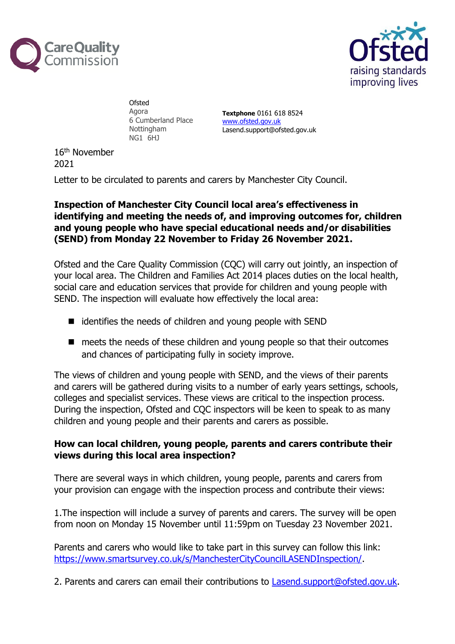



**Ofsted** Agora 6 Cumberland Place Nottingham NG1 6HJ

**Textphone** 0161 618 8524 [www.ofsted.gov.uk](http://www.ofsted.gov.uk/) Lasend.support@ofsted.gov.uk

16th November 2021

Letter to be circulated to parents and carers by Manchester City Council.

## **Inspection of Manchester City Council local area's effectiveness in identifying and meeting the needs of, and improving outcomes for, children and young people who have special educational needs and/or disabilities (SEND) from Monday 22 November to Friday 26 November 2021.**

Ofsted and the Care Quality Commission (CQC) will carry out jointly, an inspection of your local area. The Children and Families Act 2014 places duties on the local health, social care and education services that provide for children and young people with SEND. The inspection will evaluate how effectively the local area:

- identifies the needs of children and young people with SEND
- meets the needs of these children and young people so that their outcomes and chances of participating fully in society improve.

The views of children and young people with SEND, and the views of their parents and carers will be gathered during visits to a number of early years settings, schools, colleges and specialist services. These views are critical to the inspection process. During the inspection, Ofsted and CQC inspectors will be keen to speak to as many children and young people and their parents and carers as possible.

## **How can local children, young people, parents and carers contribute their views during this local area inspection?**

There are several ways in which children, young people, parents and carers from your provision can engage with the inspection process and contribute their views:

1.The inspection will include a survey of parents and carers. The survey will be open from noon on Monday 15 November until 11:59pm on Tuesday 23 November 2021.

Parents and carers who would like to take part in this survey can follow this link: [https://www.smartsurvey.co.uk/s/ManchesterCityCouncilLASENDInspection/.](https://www.smartsurvey.co.uk/s/ManchesterCityCouncilLASENDInspection/)

2. Parents and carers can email their contributions to [Lasend.support@ofsted.gov.uk.](mailto:Lasend.support@ofsted.gov.uk)